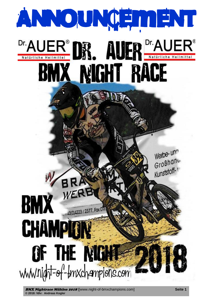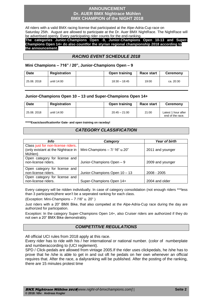#### **ANNOUNCEMENT Dr. AUER BMX Nightrace Mühlen BMX CHAMPION of the NIGHT 2018**

All riders with a valid BMX racing license that participated at the Alpe-Adria-Cup race on Saturday 25th. August are allowed to participate at the Dr. Auer BMX NightRace. The NightRace will be advertised openly. Every participating rider counts for the end-ranking.

**The categories Junior-Champions Open -9, Junior-Champions Open 10-13 and Super-Champions Open 14+ do also countfor the styrian regional championship 2018 according to the announcement.**

# *RACING EVENT SCHEDULE 2018*

#### **Mini Champions – 716" / 20", Junior-Champions Open – 9**

| <b>Date</b> | Registration |  | Open training   |       | Race start | <b>Ceremony</b> |  |
|-------------|--------------|--|-----------------|-------|------------|-----------------|--|
| 25.08.2018  | until 14:00  |  | $18:30 - 18:45$ | 19:00 | ca. 20:30  |                 |  |

#### **Junior-Champions Open 10 – 13 und Super-Champions Open 14+**

| <b>Date</b> | Registration | Open training   | Race start | <b>Ceremony</b>                         |
|-------------|--------------|-----------------|------------|-----------------------------------------|
| 25.08.2018  | until 14:00  | $20:45 - 21:00$ | 21:00      | Latest 1 hour after<br>end of the race. |

**\*\*\*\*\*Exactclassificationfor Gate- and open training on raceday!**

## *CATEGORY CLASSIFICATION*

| Info                                                                                | Category                      | <b>Year of birth</b> |
|-------------------------------------------------------------------------------------|-------------------------------|----------------------|
| Class just for non-license riders.<br>(only existant at the Nightrace in<br>Mühlen) | Mini-Champions - 7/ 16" u.20" | 2011 and younger     |
| Open category for license and<br>non-license riders.                                | Junior-Champions Open - 9     | 2009 and younger     |
| Open category for license and                                                       |                               |                      |
| non-license riders.                                                                 | Junior-Champions Open 10 - 13 | 2008 - 2005          |
| Open category for license and                                                       |                               |                      |
| non-license riders.                                                                 | Super-Champions Open 14+      | 2004 and older       |

Every category will be ridden individually. In case of category consolidation (not enough riders \*\*\*less than 3 participants)there won't be a seperated ranking for each class.

(Exception: Mini-Champions – 7 /16" u. 20" )

Just riders with a 20" BMX Bike, that also competed at the Alpe-Adria-Cup race during the day are authorized for participation.

Exception: In the category Super-Champions Open 14+, also Cruiser riders are authorized if they do not own a 20" BMX Bike demonstrably.

# *COMPETITIVE REGULATIONS*

All official UCI rules from 2018 apply at this race.

Every rider has to ride with his / her international or national number. (color of numberplate and numberaccording to (UCI reglement).

SPD / Click-pedals are allowed from vintage 2005.If the rider uses clickpedals, he /she has to prove that he /she is able to get in and out oft he pedals on her own whenever an official requires that. After the race, a dailyranking will be published. After the posting of the ranking, there are 15 minutes protest time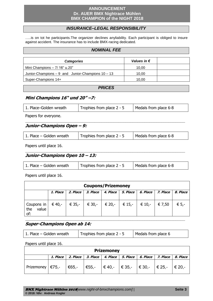#### **ANNOUNCEMENT Dr. AUER BMX Nightrace Mühlen BMX CHAMPION of the NIGHT 2018**

# *INSURANCE–LEGAL RESPONSIBILITY*

…..is on tot he participants.The organizer declines anyliability. Each participant is obliged to insure against accident. The insurance has to include BMX-racing dedicated.

#### *NOMINAL FEE*

| <b>Categories</b>                                    | Values in $\epsilon$ |  |
|------------------------------------------------------|----------------------|--|
| Mini Champions - 7/ 16" u.20"                        | 10.00                |  |
| Junior-Champions $-9$ and Junior-Champions $10 - 13$ | 10.00                |  |
| Super-Champions 14+                                  | 10.00                |  |

#### *PRICES*

#### **Mini Champions 16" und 20" –7:**

| 1. Place-Golden wreath | Trophies from place 2 - 5 | Medals from place 6-8 |
|------------------------|---------------------------|-----------------------|
|                        |                           |                       |

**\_\_\_\_\_\_\_\_\_\_\_\_\_\_\_\_\_\_\_\_\_\_\_\_\_\_\_\_\_\_\_\_\_\_\_\_\_\_\_\_\_\_\_\_\_\_\_\_\_\_\_\_\_\_\_\_\_\_\_\_\_\_\_\_\_\_\_**

Papers for everyone.

## **Junior-Champions Open – 9:**

| 1. Place – Golden wreath | Trophies from place 2 - 5 | Medals from place 6-8 |
|--------------------------|---------------------------|-----------------------|
|                          |                           |                       |

Papers until place 16.

# **Junior-Champions Open 10 – 13:**

| 1. Place – Golden wreath | Trophies from place 2 - 5 | Medals from place 6-8 |
|--------------------------|---------------------------|-----------------------|
|--------------------------|---------------------------|-----------------------|

**\_\_\_\_\_\_\_\_\_\_\_\_\_\_\_\_\_\_\_\_\_\_\_\_\_\_\_\_\_\_\_\_\_\_\_\_\_\_\_\_\_\_\_\_\_\_\_\_\_\_\_\_\_\_\_\_\_\_\_\_\_\_\_\_\_\_\_**

Papers until place 16.

| <b>Coupons/Prizemoney</b>                 |          |          |          |          |                                                                                  |          |          |          |
|-------------------------------------------|----------|----------|----------|----------|----------------------------------------------------------------------------------|----------|----------|----------|
|                                           | 1. Place | 2. Place | 3. Place | 4. Place | 5. Place                                                                         | 6. Place | 7. Place | 8. Place |
| Coupons in $\vert$<br>the<br>value<br>of: | € 40,- ∣ |          |          |          | $\in$ 35,- $\mid$ € 30,- $\mid$ € 20,- $\mid$ € 15,- $\mid$ € 10,- $\mid$ € 7,50 |          |          | € 5,-    |
|                                           |          |          |          |          |                                                                                  |          |          |          |

# **Super-Champions Open ab 14:**

| 1. Place – Golden wreath | Trophies from place 2 - 5 | Medals from place 6 |
|--------------------------|---------------------------|---------------------|
|                          |                           |                     |

Papers until place 16.

| <b>Prizemoney</b>                                                                                                                                  |          |  |  |  |  |  |                                                                            |  |
|----------------------------------------------------------------------------------------------------------------------------------------------------|----------|--|--|--|--|--|----------------------------------------------------------------------------|--|
|                                                                                                                                                    | 1. Place |  |  |  |  |  | 2. Place   3. Place   4. Place   5. Place   6. Place   7. Place   8. Place |  |
| Prizemoney $ \epsilon$ 75,- $ \epsilon$ 65,- $ \epsilon$ 55,- $ \epsilon$ 40,- $ \epsilon$ 35,- $ \epsilon$ 30,- $ \epsilon$ 25,- $ \epsilon$ 20,- |          |  |  |  |  |  |                                                                            |  |